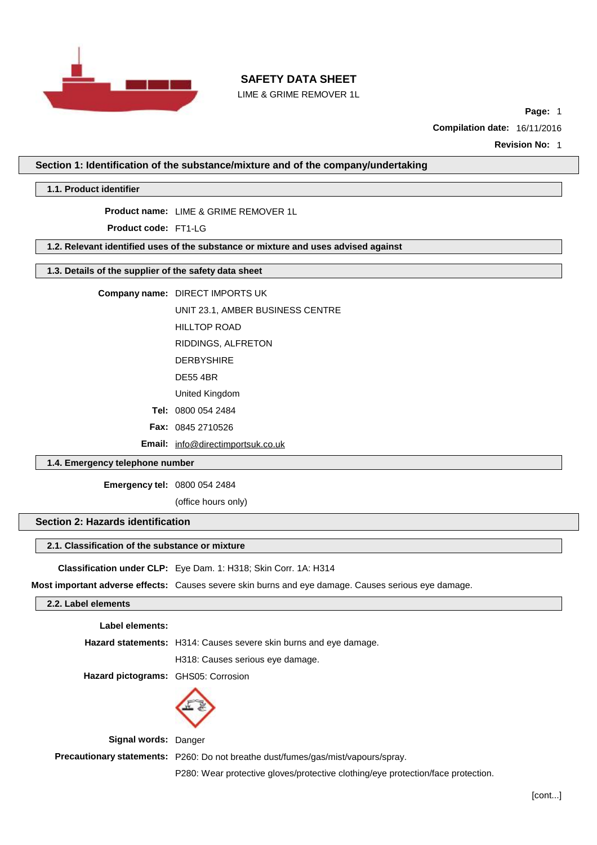

LIME & GRIME REMOVER 1L

**Page:** 1

**Compilation date:** 16/11/2016

**Revision No:** 1

**Section 1: Identification of the substance/mixture and of the company/undertaking**

**1.1. Product identifier**

**Product name:** LIME & GRIME REMOVER 1L

**Product code:** FT1-LG

**1.2. Relevant identified uses of the substance or mixture and uses advised against**

# **1.3. Details of the supplier of the safety data sheet**

**Company name:** DIRECT IMPORTS UK

UNIT 23.1, AMBER BUSINESS CENTRE

HILLTOP ROAD

RIDDINGS, ALFRETON

DERBYSHIRE

DE55 4BR

United Kingdom

**Tel:** 0800 054 2484

**Fax:** 0845 2710526

**Email:** [info@directimportsuk.co.uk](mailto:info@directimportsuk.co.uk)

## **1.4. Emergency telephone number**

**Emergency tel:** 0800 054 2484

(office hours only)

# **Section 2: Hazards identification**

# **2.1. Classification of the substance or mixture**

**Classification under CLP:** Eye Dam. 1: H318; Skin Corr. 1A: H314

**Most important adverse effects:** Causes severe skin burns and eye damage. Causes serious eye damage.

## **2.2. Label elements**

**Label elements:**

**Hazard statements:** H314: Causes severe skin burns and eye damage.

H318: Causes serious eye damage.

**Hazard pictograms:** GHS05: Corrosion



**Signal words:** Danger

**Precautionary statements:** P260: Do not breathe dust/fumes/gas/mist/vapours/spray.

P280: Wear protective gloves/protective clothing/eye protection/face protection.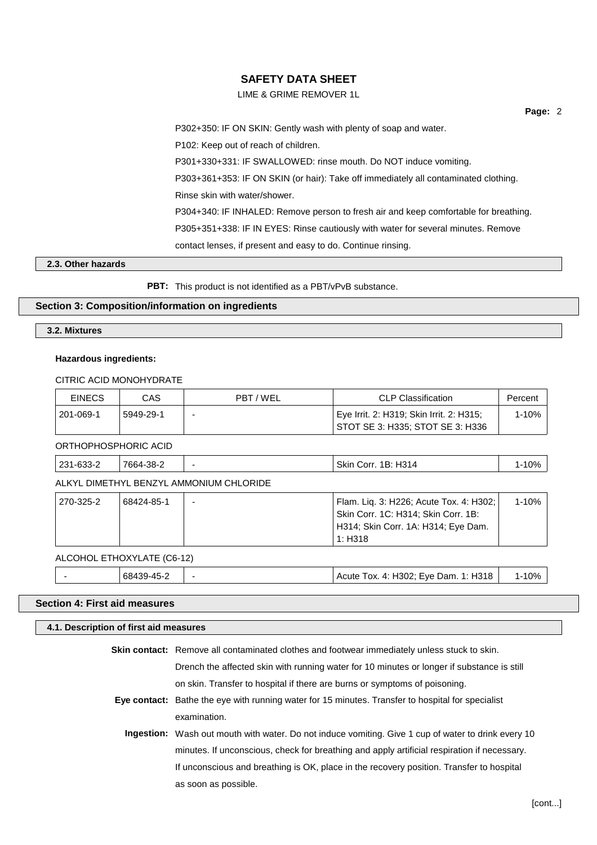# LIME & GRIME REMOVER 1L

**Page:** 2

P302+350: IF ON SKIN: Gently wash with plenty of soap and water.

P102: Keep out of reach of children.

P301+330+331: IF SWALLOWED: rinse mouth. Do NOT induce vomiting.

P303+361+353: IF ON SKIN (or hair): Take off immediately all contaminated clothing.

Rinse skin with water/shower.

P304+340: IF INHALED: Remove person to fresh air and keep comfortable for breathing.

P305+351+338: IF IN EYES: Rinse cautiously with water for several minutes. Remove

contact lenses, if present and easy to do. Continue rinsing.

## **2.3. Other hazards**

**PBT:** This product is not identified as a PBT/vPvB substance.

## **Section 3: Composition/information on ingredients**

**3.2. Mixtures**

## **Hazardous ingredients:**

CITRIC ACID MONOHYDRATE

| <b>EINECS</b> | CAS       | PBT/WEL | <b>CLP Classification</b>                                                    | Percent |
|---------------|-----------|---------|------------------------------------------------------------------------------|---------|
| 201-069-1     | 5949-29-1 |         | Eye Irrit. 2: H319; Skin Irrit. 2: H315;<br>STOT SE 3: H335: STOT SE 3: H336 | 1-10%   |

ORTHOPHOSPHORIC ACID

| 7664-38-2<br>$\sim$<br>ດລ4<br>Skin<br>Corr.<br>231-633-2 | H <sub>3</sub> 14<br>$\Omega$<br>1В:<br><b>IU70</b> |
|----------------------------------------------------------|-----------------------------------------------------|
|----------------------------------------------------------|-----------------------------------------------------|

ALKYL DIMETHYL BENZYL AMMONIUM CHLORIDE

| 270-325-2 | 68424-85-1 | - | Flam. Lig. 3: H226; Acute Tox. 4: H302; | 1-10% |
|-----------|------------|---|-----------------------------------------|-------|
|           |            |   | Skin Corr. 1C: H314; Skin Corr. 1B:     |       |
|           |            |   | H314; Skin Corr. 1A: H314; Eye Dam.     |       |
|           |            |   | 1: H318                                 |       |
|           |            |   |                                         |       |

#### ALCOHOL ETHOXYLATE (C6-12)

|  |  | oö, |  | <b>H318</b><br>-۷۵<br>4302<br>)am<br>l ox.<br>. д.<br>:ше<br>$\mathbf{a}$ | 0% |
|--|--|-----|--|---------------------------------------------------------------------------|----|
|--|--|-----|--|---------------------------------------------------------------------------|----|

# **Section 4: First aid measures**

#### **4.1. Description of first aid measures**

**Skin contact:** Remove all contaminated clothes and footwear immediately unless stuck to skin.

Drench the affected skin with running water for 10 minutes or longer if substance is still

on skin. Transfer to hospital if there are burns or symptoms of poisoning.

**Eye contact:** Bathe the eye with running water for 15 minutes. Transfer to hospital for specialist examination.

**Ingestion:** Wash out mouth with water. Do not induce vomiting. Give 1 cup of water to drink every 10 minutes. If unconscious, check for breathing and apply artificial respiration if necessary. If unconscious and breathing is OK, place in the recovery position. Transfer to hospital as soon as possible.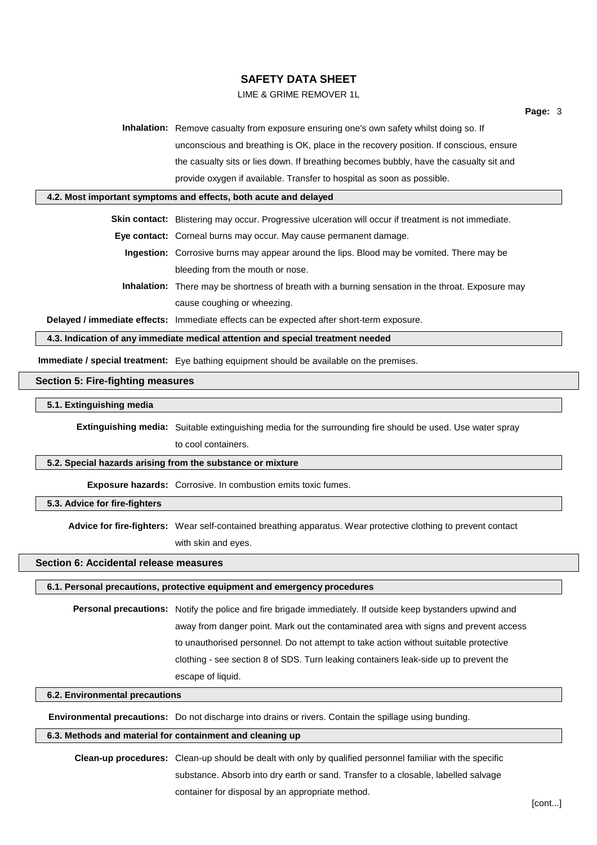# LIME & GRIME REMOVER 1L

**Inhalation:** Remove casualty from exposure ensuring one's own safety whilst doing so. If unconscious and breathing is OK, place in the recovery position. If conscious, ensure the casualty sits or lies down. If breathing becomes bubbly, have the casualty sit and provide oxygen if available. Transfer to hospital as soon as possible.

#### **4.2. Most important symptoms and effects, both acute and delayed**

**Skin contact:** Blistering may occur. Progressive ulceration will occur if treatment is not immediate.

**Eye contact:** Corneal burns may occur. May cause permanent damage.

- **Ingestion:** Corrosive burns may appear around the lips. Blood may be vomited. There may be bleeding from the mouth or nose.
- **Inhalation:** There may be shortness of breath with a burning sensation in the throat. Exposure may cause coughing or wheezing.

**Delayed / immediate effects:** Immediate effects can be expected after short-term exposure.

## **4.3. Indication of any immediate medical attention and special treatment needed**

**Immediate / special treatment:** Eye bathing equipment should be available on the premises.

### **Section 5: Fire-fighting measures**

#### **5.1. Extinguishing media**

**Extinguishing media:** Suitable extinguishing media for the surrounding fire should be used. Use water spray

to cool containers.

## **5.2. Special hazards arising from the substance or mixture**

**Exposure hazards:** Corrosive. In combustion emits toxic fumes.

#### **5.3. Advice for fire-fighters**

**Advice for fire-fighters:** Wear self-contained breathing apparatus. Wear protective clothing to prevent contact with skin and eyes.

#### **Section 6: Accidental release measures**

# **6.1. Personal precautions, protective equipment and emergency procedures**

**Personal precautions:** Notify the police and fire brigade immediately. If outside keep bystanders upwind and away from danger point. Mark out the contaminated area with signs and prevent access to unauthorised personnel. Do not attempt to take action without suitable protective clothing - see section 8 of SDS. Turn leaking containers leak-side up to prevent the escape of liquid.

#### **6.2. Environmental precautions**

**Environmental precautions:** Do not discharge into drains or rivers. Contain the spillage using bunding.

## **6.3. Methods and material for containment and cleaning up**

**Clean-up procedures:** Clean-up should be dealt with only by qualified personnel familiar with the specific substance. Absorb into dry earth or sand. Transfer to a closable, labelled salvage container for disposal by an appropriate method.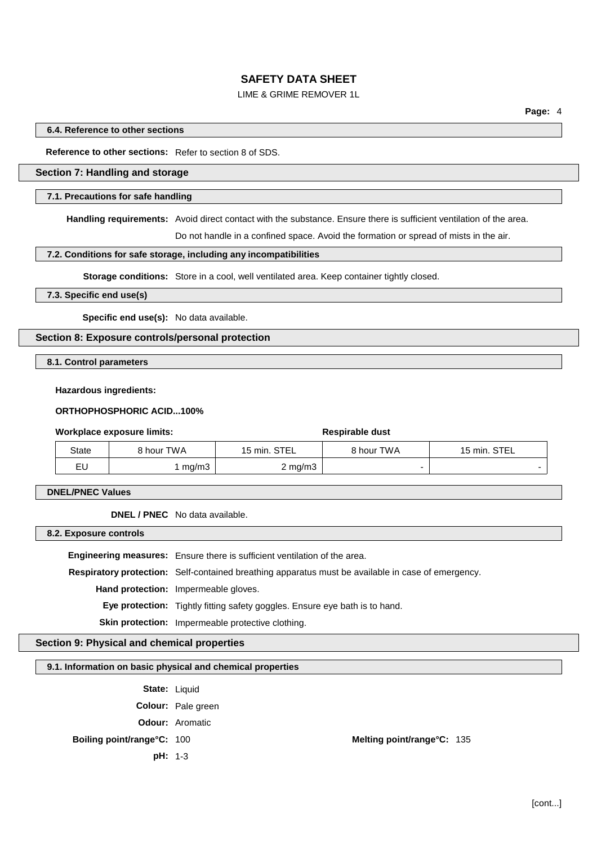# LIME & GRIME REMOVER 1L

#### **6.4. Reference to other sections**

#### **Reference to other sections:** Refer to section 8 of SDS.

# **Section 7: Handling and storage**

#### **7.1. Precautions for safe handling**

**Handling requirements:** Avoid direct contact with the substance. Ensure there is sufficient ventilation of the area.

Do not handle in a confined space. Avoid the formation or spread of mists in the air.

#### **7.2. Conditions for safe storage, including any incompatibilities**

**Storage conditions:** Store in a cool, well ventilated area. Keep container tightly closed.

#### **7.3. Specific end use(s)**

**Specific end use(s):** No data available.

### **Section 8: Exposure controls/personal protection**

**8.1. Control parameters**

#### **Hazardous ingredients:**

### **ORTHOPHOSPHORIC ACID...100%**

#### **Workplace** exposure limits: **Respirable** dust

# State | 8 hour TWA | 15 min. STEL | 8 hour TWA | 15 min. STEL  $\mathsf{EU}$  and  $\mathsf{I} \mathsf{m}\mathsf{g}/\mathsf{m}3$  and  $\mathsf{I} \mathsf{m}\mathsf{m}3$  and  $\mathsf{I} \mathsf{m}$  and  $\mathsf{I} \mathsf{m}$  and  $\mathsf{I} \mathsf{m}$  and  $\mathsf{I} \mathsf{m}$  and  $\mathsf{I} \mathsf{m}$  and  $\mathsf{I} \mathsf{m}$  and  $\mathsf{I} \mathsf{m}$  and  $\mathsf{I} \mathsf{m}$  and

**DNEL/PNEC Values**

**DNEL / PNEC** No data available.

**8.2. Exposure controls**

**Engineering measures:** Ensure there is sufficient ventilation of the area.

**Respiratory protection:** Self-contained breathing apparatus must be available in case of emergency.

**Hand protection:** Impermeable gloves.

**Eye protection:** Tightly fitting safety goggles. Ensure eye bath is to hand.

**Skin protection:** Impermeable protective clothing.

# **Section 9: Physical and chemical properties**

#### **9.1. Information on basic physical and chemical properties**

State: Liquid

**Colour:** Pale green

**Odour:** Aromatic

**pH:** 1-3

**Boiling point/range°C:** 100 **Melting point/range°C:** 135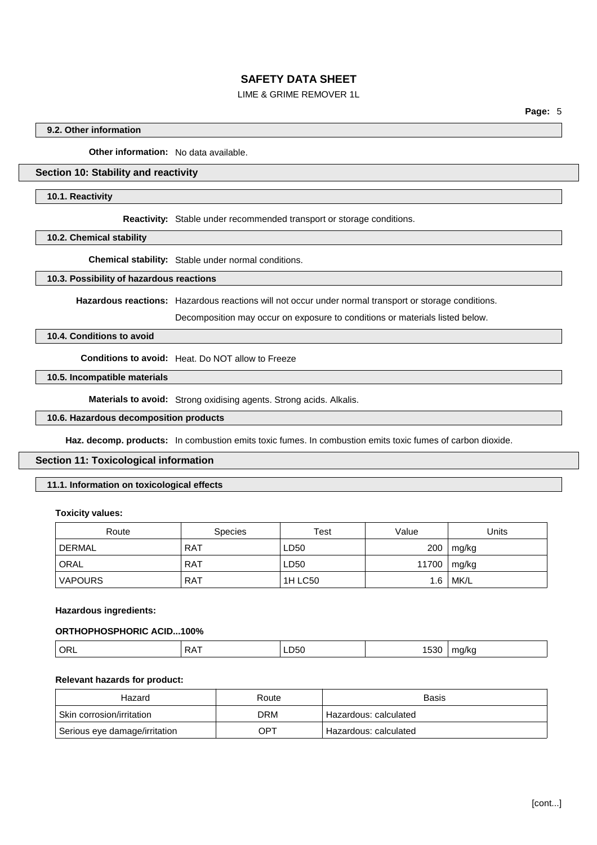# LIME & GRIME REMOVER 1L

**Page:** 5

## **9.2. Other information**

**Other information:** No data available.

# **Section 10: Stability and reactivity**

#### **10.1. Reactivity**

**Reactivity:** Stable under recommended transport or storage conditions.

**10.2. Chemical stability**

**Chemical stability:** Stable under normal conditions.

#### **10.3. Possibility of hazardous reactions**

**Hazardous reactions:** Hazardous reactions will not occur under normal transport or storage conditions.

Decomposition may occur on exposure to conditions or materials listed below.

# **10.4. Conditions to avoid**

**Conditions to avoid:** Heat. Do NOT allow to Freeze

# **10.5. Incompatible materials**

**Materials to avoid:** Strong oxidising agents. Strong acids. Alkalis.

## **10.6. Hazardous decomposition products**

**Haz. decomp. products:** In combustion emits toxic fumes. In combustion emits toxic fumes of carbon dioxide.

## **Section 11: Toxicological information**

# **11.1. Information on toxicological effects**

#### **Toxicity values:**

| Route          | <b>Species</b> | Test           | Value | Units  |
|----------------|----------------|----------------|-------|--------|
| <b>DERMAL</b>  | <b>RAT</b>     | LD50           | 200   | mg/kg  |
| ORAL           | <b>RAT</b>     | LD50           | 11700 | mg/kg  |
| <b>VAPOURS</b> | <b>RAT</b>     | <b>1H LC50</b> | 1.6   | ' MK/L |

#### **Hazardous ingredients:**

# **ORTHOPHOSPHORIC ACID...100%**

## **Relevant hazards for product:**

| Route<br>Hazard               |     | Basis                   |  |
|-------------------------------|-----|-------------------------|--|
| ∣ Skin corrosion/irritation   | DRM | ' Hazardous: calculated |  |
| Serious eye damage/irritation | OPT | ' Hazardous: calculated |  |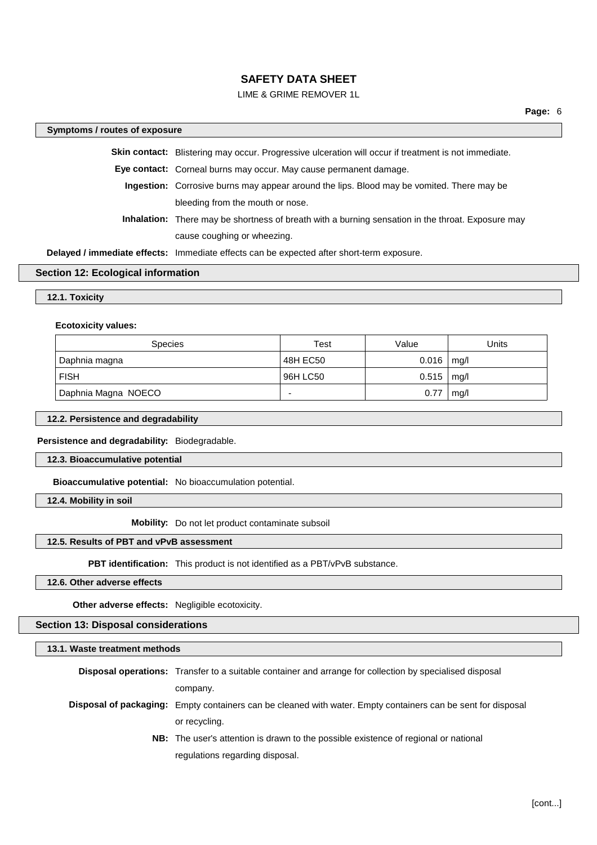# LIME & GRIME REMOVER 1L

# **Symptoms / routes of exposure Skin contact:** Blistering may occur. Progressive ulceration will occur if treatment is not immediate. **Eye contact:** Corneal burns may occur. May cause permanent damage. **Ingestion:** Corrosive burns may appear around the lips. Blood may be vomited. There may be bleeding from the mouth or nose. **Inhalation:** There may be shortness of breath with a burning sensation in the throat. Exposure may cause coughing or wheezing.

**Delayed / immediate effects:** Immediate effects can be expected after short-term exposure.

#### **Section 12: Ecological information**

#### **12.1. Toxicity**

#### **Ecotoxicity values:**

| <b>Species</b>      | Test     | Value | Units |
|---------------------|----------|-------|-------|
| Daphnia magna       | 48H EC50 | 0.016 | mq/l  |
| <b>FISH</b>         | 96H LC50 | 0.515 | mq/l  |
| Daphnia Magna NOECO |          | 0.77  | mg/l  |

#### **12.2. Persistence and degradability**

## **Persistence and degradability:** Biodegradable.

#### **12.3. Bioaccumulative potential**

**Bioaccumulative potential:** No bioaccumulation potential.

### **12.4. Mobility in soil**

**Mobility:** Do not let product contaminate subsoil

#### **12.5. Results of PBT and vPvB assessment**

**PBT identification:** This product is not identified as a PBT/vPvB substance.

#### **12.6. Other adverse effects**

**Other adverse effects:** Negligible ecotoxicity.

#### **Section 13: Disposal considerations**

# **13.1. Waste treatment methods Disposal operations:** Transfer to a suitable container and arrange for collection by specialised disposal company. **Disposal of packaging:** Empty containers can be cleaned with water. Empty containers can be sent for disposal or recycling. **NB:** The user's attention is drawn to the possible existence of regional or national regulations regarding disposal.